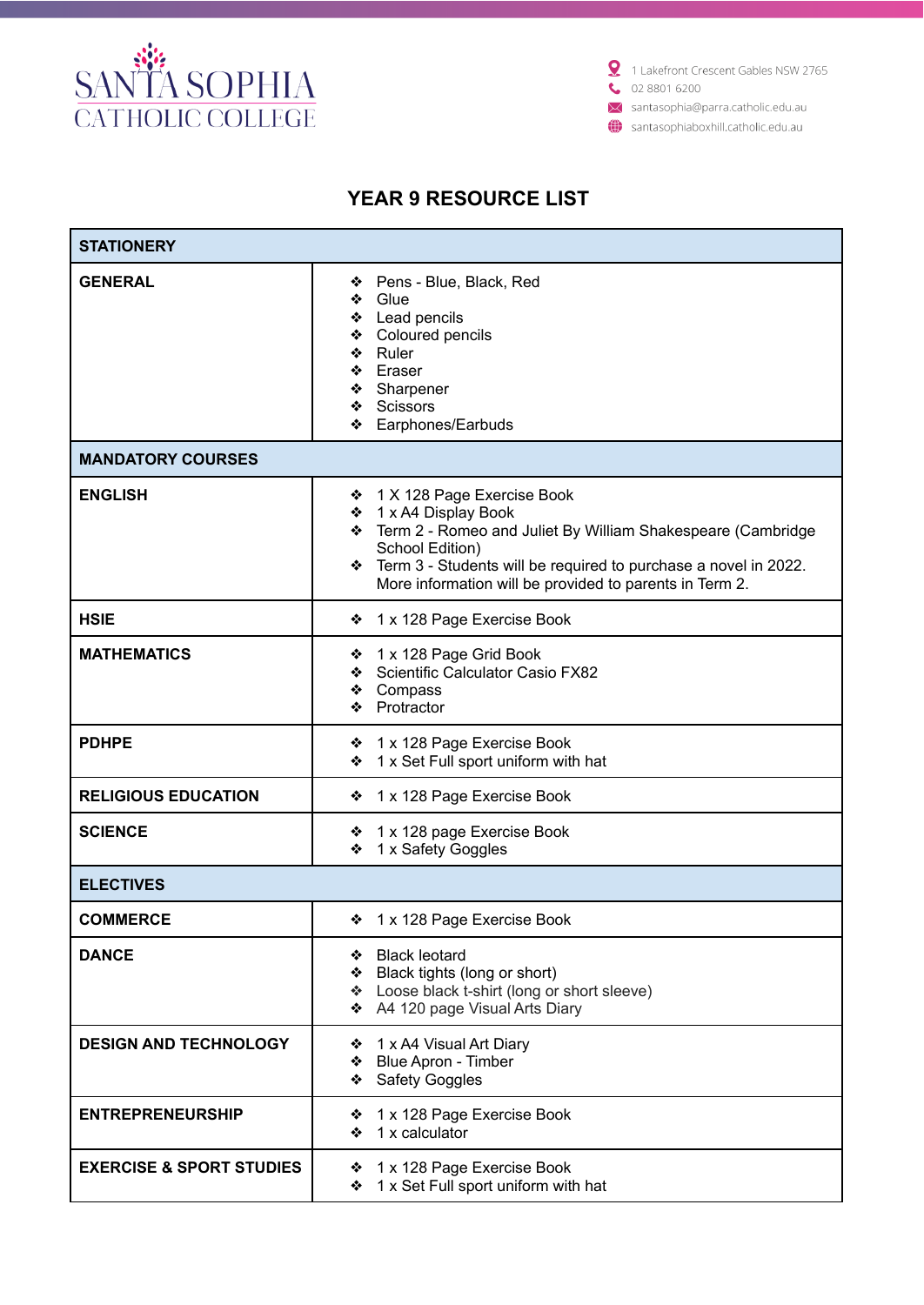

1 Lakefront Crescent Gables NSW 2765  $\bullet$  02 8801 6200

X santasophia@parra.catholic.edu.au

santasophiaboxhill.catholic.edu.au

## **YEAR 9 RESOURCE LIST**

| <b>STATIONERY</b>                   |                                                                                                                                                                                                                                                                              |  |
|-------------------------------------|------------------------------------------------------------------------------------------------------------------------------------------------------------------------------------------------------------------------------------------------------------------------------|--|
| <b>GENERAL</b>                      | Pens - Blue, Black, Red<br>❖<br>Glue<br>❖<br>❖ Lead pencils<br>❖ Coloured pencils<br>❖ Ruler<br>❖ Eraser<br>❖ Sharpener<br>❖ Scissors<br>Earphones/Earbuds<br>❖                                                                                                              |  |
| <b>MANDATORY COURSES</b>            |                                                                                                                                                                                                                                                                              |  |
| <b>ENGLISH</b>                      | ❖ 1 X 128 Page Exercise Book<br>❖ 1 x A4 Display Book<br>* Term 2 - Romeo and Juliet By William Shakespeare (Cambridge<br>School Edition)<br>Term 3 - Students will be required to purchase a novel in 2022.<br>❖<br>More information will be provided to parents in Term 2. |  |
| <b>HSIE</b>                         | ❖ 1 x 128 Page Exercise Book                                                                                                                                                                                                                                                 |  |
| <b>MATHEMATICS</b>                  | ❖ 1 x 128 Page Grid Book<br>Scientific Calculator Casio FX82<br>❖ Compass<br>Protractor<br>❖                                                                                                                                                                                 |  |
| <b>PDHPE</b>                        | ❖ 1 x 128 Page Exercise Book<br>1 x Set Full sport uniform with hat<br>❖                                                                                                                                                                                                     |  |
| <b>RELIGIOUS EDUCATION</b>          | 1 x 128 Page Exercise Book<br>❖                                                                                                                                                                                                                                              |  |
| <b>SCIENCE</b>                      | 1 x 128 page Exercise Book<br>❖<br>1 x Safety Goggles<br>❖                                                                                                                                                                                                                   |  |
| <b>ELECTIVES</b>                    |                                                                                                                                                                                                                                                                              |  |
| <b>COMMERCE</b>                     | ❖ 1 x 128 Page Exercise Book                                                                                                                                                                                                                                                 |  |
| <b>DANCE</b>                        | <b>Black leotard</b><br>❖<br>Black tights (long or short)<br>❖<br>❖ Loose black t-shirt (long or short sleeve)<br>❖ A4 120 page Visual Arts Diary                                                                                                                            |  |
| <b>DESIGN AND TECHNOLOGY</b>        | ❖ 1 x A4 Visual Art Diary<br>❖ Blue Apron - Timber<br>❖ Safety Goggles                                                                                                                                                                                                       |  |
| <b>ENTREPRENEURSHIP</b>             | ❖ 1 x 128 Page Exercise Book<br>1 x calculator<br>❖                                                                                                                                                                                                                          |  |
| <b>EXERCISE &amp; SPORT STUDIES</b> | ❖ 1 x 128 Page Exercise Book<br>❖ 1 x Set Full sport uniform with hat                                                                                                                                                                                                        |  |